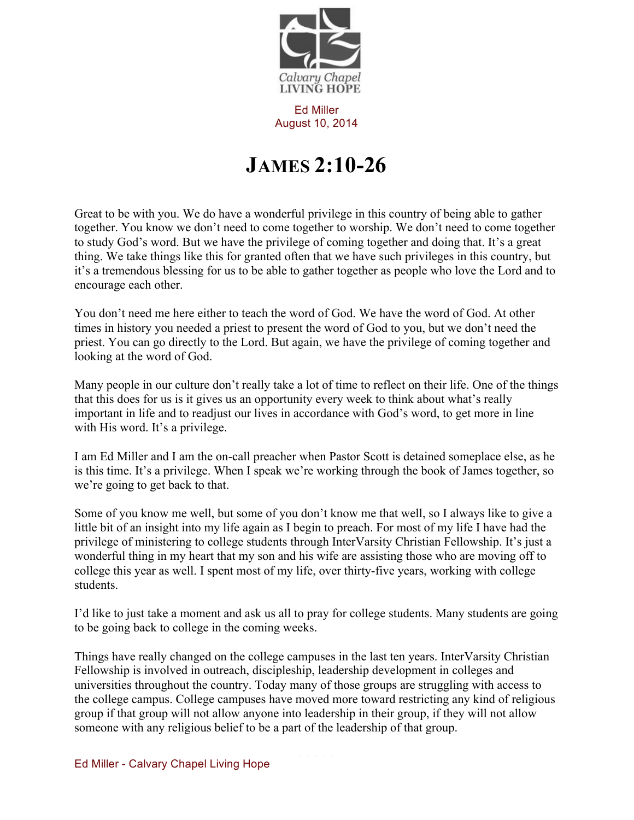

Ed Miller August 10, 2014

## **JAMES 2:10-26**

Great to be with you. We do have a wonderful privilege in this country of being able to gather together. You know we don't need to come together to worship. We don't need to come together to study God's word. But we have the privilege of coming together and doing that. It's a great thing. We take things like this for granted often that we have such privileges in this country, but it's a tremendous blessing for us to be able to gather together as people who love the Lord and to encourage each other.

You don't need me here either to teach the word of God. We have the word of God. At other times in history you needed a priest to present the word of God to you, but we don't need the priest. You can go directly to the Lord. But again, we have the privilege of coming together and looking at the word of God.

Many people in our culture don't really take a lot of time to reflect on their life. One of the things that this does for us is it gives us an opportunity every week to think about what's really important in life and to readjust our lives in accordance with God's word, to get more in line with His word. It's a privilege.

I am Ed Miller and I am the on-call preacher when Pastor Scott is detained someplace else, as he is this time. It's a privilege. When I speak we're working through the book of James together, so we're going to get back to that.

Some of you know me well, but some of you don't know me that well, so I always like to give a little bit of an insight into my life again as I begin to preach. For most of my life I have had the privilege of ministering to college students through InterVarsity Christian Fellowship. It's just a wonderful thing in my heart that my son and his wife are assisting those who are moving off to college this year as well. I spent most of my life, over thirty-five years, working with college students.

I'd like to just take a moment and ask us all to pray for college students. Many students are going to be going back to college in the coming weeks.

Things have really changed on the college campuses in the last ten years. InterVarsity Christian Fellowship is involved in outreach, discipleship, leadership development in colleges and universities throughout the country. Today many of those groups are struggling with access to the college campus. College campuses have moved more toward restricting any kind of religious group if that group will not allow anyone into leadership in their group, if they will not allow someone with any religious belief to be a part of the leadership of that group.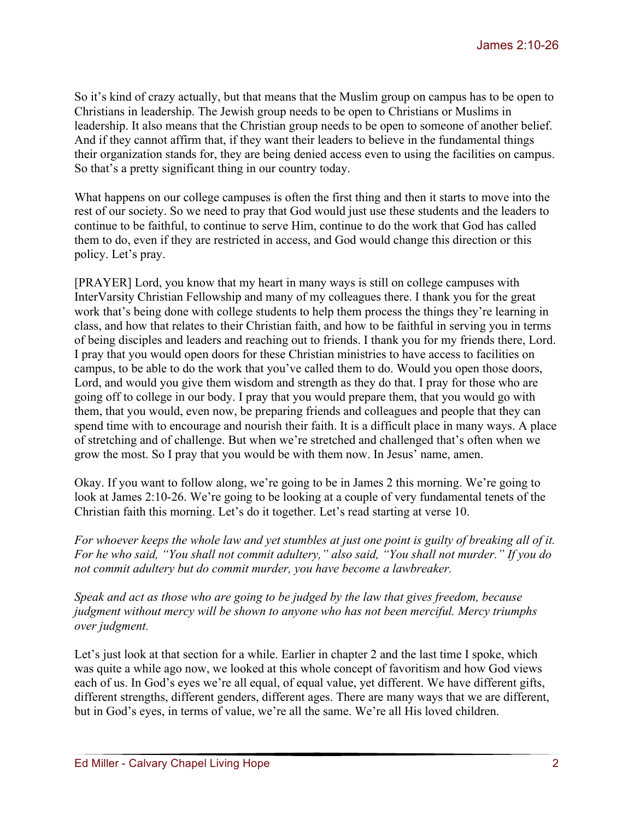So it's kind of crazy actually, but that means that the Muslim group on campus has to be open to Christians in leadership. The Jewish group needs to be open to Christians or Muslims in leadership. It also means that the Christian group needs to be open to someone of another belief. And if they cannot affirm that, if they want their leaders to believe in the fundamental things their organization stands for, they are being denied access even to using the facilities on campus. So that's a pretty significant thing in our country today.

What happens on our college campuses is often the first thing and then it starts to move into the rest of our society. So we need to pray that God would just use these students and the leaders to continue to be faithful, to continue to serve Him, continue to do the work that God has called them to do, even if they are restricted in access, and God would change this direction or this policy. Let's pray.

[PRAYER] Lord, you know that my heart in many ways is still on college campuses with InterVarsity Christian Fellowship and many of my colleagues there. I thank you for the great work that's being done with college students to help them process the things they're learning in class, and how that relates to their Christian faith, and how to be faithful in serving you in terms of being disciples and leaders and reaching out to friends. I thank you for my friends there, Lord. I pray that you would open doors for these Christian ministries to have access to facilities on campus, to be able to do the work that you've called them to do. Would you open those doors, Lord, and would you give them wisdom and strength as they do that. I pray for those who are going off to college in our body. I pray that you would prepare them, that you would go with them, that you would, even now, be preparing friends and colleagues and people that they can spend time with to encourage and nourish their faith. It is a difficult place in many ways. A place of stretching and of challenge. But when we're stretched and challenged that's often when we grow the most. So I pray that you would be with them now. In Jesus' name, amen.

Okay. If you want to follow along, we're going to be in James 2 this morning. We're going to look at James 2:10-26. We're going to be looking at a couple of very fundamental tenets of the Christian faith this morning. Let's do it together. Let's read starting at verse 10.

*For whoever keeps the whole law and yet stumbles at just one point is guilty of breaking all of it. For he who said, "You shall not commit adultery," also said, "You shall not murder." If you do not commit adultery but do commit murder, you have become a lawbreaker.*

*Speak and act as those who are going to be judged by the law that gives freedom, because judgment without mercy will be shown to anyone who has not been merciful. Mercy triumphs over judgment.*

Let's just look at that section for a while. Earlier in chapter 2 and the last time I spoke, which was quite a while ago now, we looked at this whole concept of favoritism and how God views each of us. In God's eyes we're all equal, of equal value, yet different. We have different gifts, different strengths, different genders, different ages. There are many ways that we are different, but in God's eyes, in terms of value, we're all the same. We're all His loved children.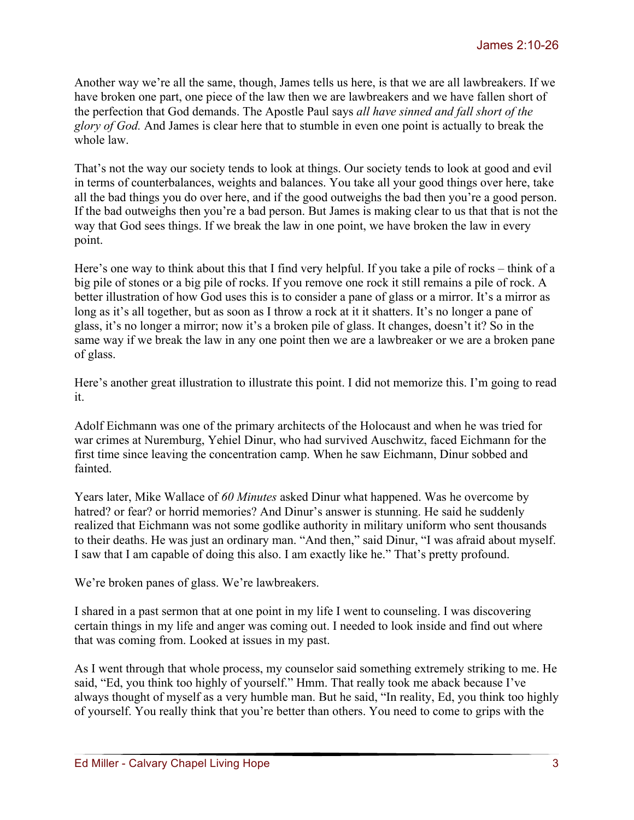Another way we're all the same, though, James tells us here, is that we are all lawbreakers. If we have broken one part, one piece of the law then we are lawbreakers and we have fallen short of the perfection that God demands. The Apostle Paul says *all have sinned and fall short of the glory of God.* And James is clear here that to stumble in even one point is actually to break the whole law.

That's not the way our society tends to look at things. Our society tends to look at good and evil in terms of counterbalances, weights and balances. You take all your good things over here, take all the bad things you do over here, and if the good outweighs the bad then you're a good person. If the bad outweighs then you're a bad person. But James is making clear to us that that is not the way that God sees things. If we break the law in one point, we have broken the law in every point.

Here's one way to think about this that I find very helpful. If you take a pile of rocks – think of a big pile of stones or a big pile of rocks. If you remove one rock it still remains a pile of rock. A better illustration of how God uses this is to consider a pane of glass or a mirror. It's a mirror as long as it's all together, but as soon as I throw a rock at it it shatters. It's no longer a pane of glass, it's no longer a mirror; now it's a broken pile of glass. It changes, doesn't it? So in the same way if we break the law in any one point then we are a lawbreaker or we are a broken pane of glass.

Here's another great illustration to illustrate this point. I did not memorize this. I'm going to read it.

Adolf Eichmann was one of the primary architects of the Holocaust and when he was tried for war crimes at Nuremburg, Yehiel Dinur, who had survived Auschwitz, faced Eichmann for the first time since leaving the concentration camp. When he saw Eichmann, Dinur sobbed and fainted.

Years later, Mike Wallace of *60 Minutes* asked Dinur what happened. Was he overcome by hatred? or fear? or horrid memories? And Dinur's answer is stunning. He said he suddenly realized that Eichmann was not some godlike authority in military uniform who sent thousands to their deaths. He was just an ordinary man. "And then," said Dinur, "I was afraid about myself. I saw that I am capable of doing this also. I am exactly like he." That's pretty profound.

We're broken panes of glass. We're lawbreakers.

I shared in a past sermon that at one point in my life I went to counseling. I was discovering certain things in my life and anger was coming out. I needed to look inside and find out where that was coming from. Looked at issues in my past.

As I went through that whole process, my counselor said something extremely striking to me. He said, "Ed, you think too highly of yourself." Hmm. That really took me aback because I've always thought of myself as a very humble man. But he said, "In reality, Ed, you think too highly of yourself. You really think that you're better than others. You need to come to grips with the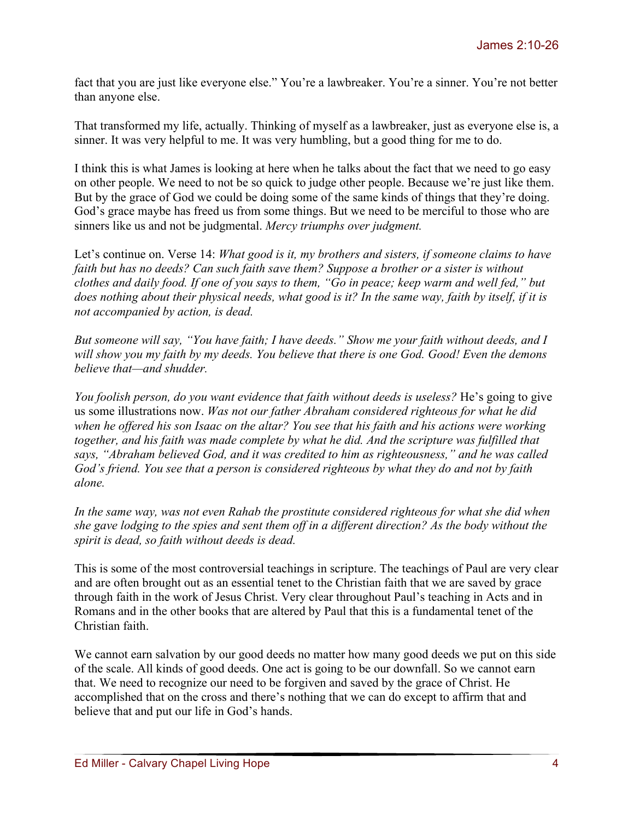fact that you are just like everyone else." You're a lawbreaker. You're a sinner. You're not better than anyone else.

That transformed my life, actually. Thinking of myself as a lawbreaker, just as everyone else is, a sinner. It was very helpful to me. It was very humbling, but a good thing for me to do.

I think this is what James is looking at here when he talks about the fact that we need to go easy on other people. We need to not be so quick to judge other people. Because we're just like them. But by the grace of God we could be doing some of the same kinds of things that they're doing. God's grace maybe has freed us from some things. But we need to be merciful to those who are sinners like us and not be judgmental. *Mercy triumphs over judgment.*

Let's continue on. Verse 14: *What good is it, my brothers and sisters, if someone claims to have faith but has no deeds? Can such faith save them? Suppose a brother or a sister is without clothes and daily food. If one of you says to them, "Go in peace; keep warm and well fed," but does nothing about their physical needs, what good is it? In the same way, faith by itself, if it is not accompanied by action, is dead.*

*But someone will say, "You have faith; I have deeds." Show me your faith without deeds, and I will show you my faith by my deeds. You believe that there is one God. Good! Even the demons believe that—and shudder.*

*You foolish person, do you want evidence that faith without deeds is useless?* He's going to give us some illustrations now. *Was not our father Abraham considered righteous for what he did when he offered his son Isaac on the altar? You see that his faith and his actions were working together, and his faith was made complete by what he did. And the scripture was fulfilled that says, "Abraham believed God, and it was credited to him as righteousness," and he was called God's friend. You see that a person is considered righteous by what they do and not by faith alone.*

In the same way, was not even Rahab the prostitute considered righteous for what she did when *she gave lodging to the spies and sent them off in a different direction? As the body without the spirit is dead, so faith without deeds is dead.*

This is some of the most controversial teachings in scripture. The teachings of Paul are very clear and are often brought out as an essential tenet to the Christian faith that we are saved by grace through faith in the work of Jesus Christ. Very clear throughout Paul's teaching in Acts and in Romans and in the other books that are altered by Paul that this is a fundamental tenet of the Christian faith.

We cannot earn salvation by our good deeds no matter how many good deeds we put on this side of the scale. All kinds of good deeds. One act is going to be our downfall. So we cannot earn that. We need to recognize our need to be forgiven and saved by the grace of Christ. He accomplished that on the cross and there's nothing that we can do except to affirm that and believe that and put our life in God's hands.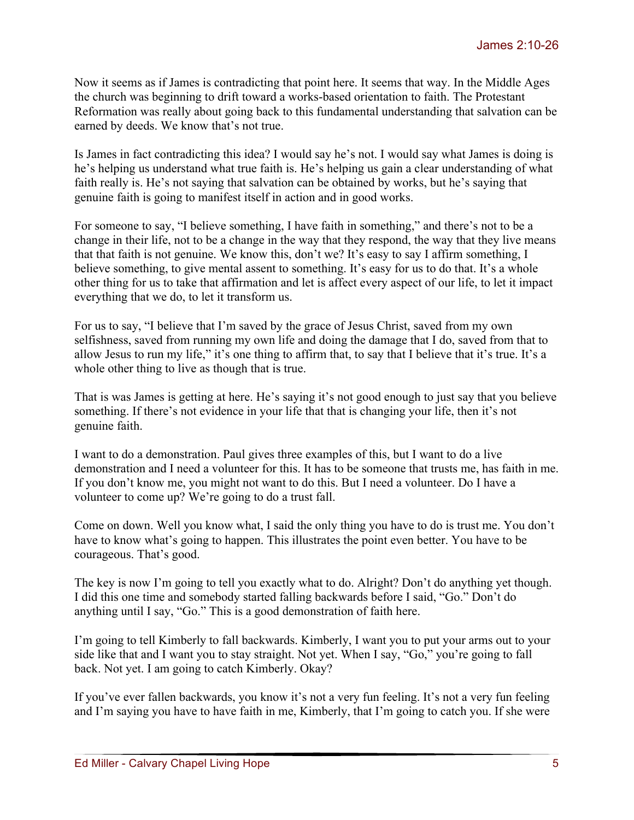Now it seems as if James is contradicting that point here. It seems that way. In the Middle Ages the church was beginning to drift toward a works-based orientation to faith. The Protestant Reformation was really about going back to this fundamental understanding that salvation can be earned by deeds. We know that's not true.

Is James in fact contradicting this idea? I would say he's not. I would say what James is doing is he's helping us understand what true faith is. He's helping us gain a clear understanding of what faith really is. He's not saying that salvation can be obtained by works, but he's saying that genuine faith is going to manifest itself in action and in good works.

For someone to say, "I believe something, I have faith in something," and there's not to be a change in their life, not to be a change in the way that they respond, the way that they live means that that faith is not genuine. We know this, don't we? It's easy to say I affirm something, I believe something, to give mental assent to something. It's easy for us to do that. It's a whole other thing for us to take that affirmation and let is affect every aspect of our life, to let it impact everything that we do, to let it transform us.

For us to say, "I believe that I'm saved by the grace of Jesus Christ, saved from my own selfishness, saved from running my own life and doing the damage that I do, saved from that to allow Jesus to run my life," it's one thing to affirm that, to say that I believe that it's true. It's a whole other thing to live as though that is true.

That is was James is getting at here. He's saying it's not good enough to just say that you believe something. If there's not evidence in your life that that is changing your life, then it's not genuine faith.

I want to do a demonstration. Paul gives three examples of this, but I want to do a live demonstration and I need a volunteer for this. It has to be someone that trusts me, has faith in me. If you don't know me, you might not want to do this. But I need a volunteer. Do I have a volunteer to come up? We're going to do a trust fall.

Come on down. Well you know what, I said the only thing you have to do is trust me. You don't have to know what's going to happen. This illustrates the point even better. You have to be courageous. That's good.

The key is now I'm going to tell you exactly what to do. Alright? Don't do anything yet though. I did this one time and somebody started falling backwards before I said, "Go." Don't do anything until I say, "Go." This is a good demonstration of faith here.

I'm going to tell Kimberly to fall backwards. Kimberly, I want you to put your arms out to your side like that and I want you to stay straight. Not yet. When I say, "Go," you're going to fall back. Not yet. I am going to catch Kimberly. Okay?

If you've ever fallen backwards, you know it's not a very fun feeling. It's not a very fun feeling and I'm saying you have to have faith in me, Kimberly, that I'm going to catch you. If she were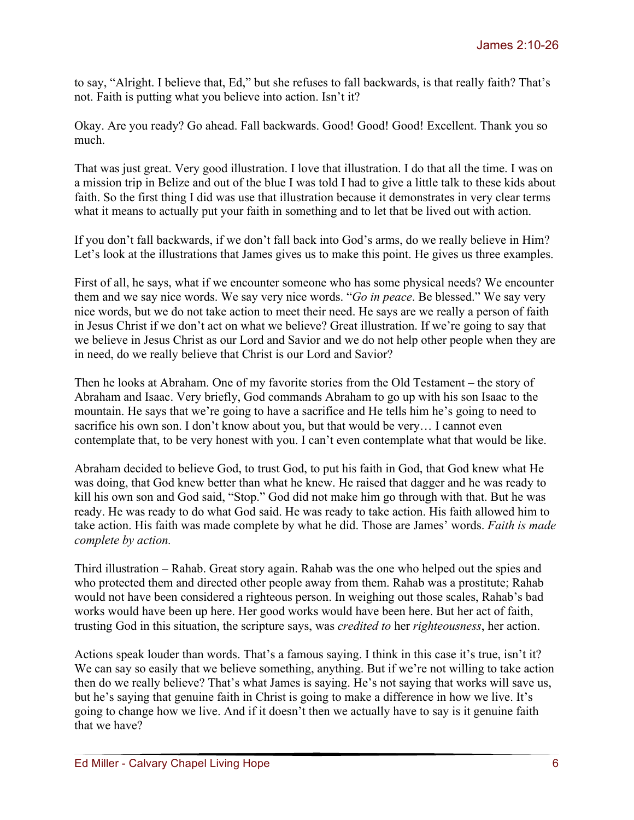to say, "Alright. I believe that, Ed," but she refuses to fall backwards, is that really faith? That's not. Faith is putting what you believe into action. Isn't it?

Okay. Are you ready? Go ahead. Fall backwards. Good! Good! Good! Excellent. Thank you so much.

That was just great. Very good illustration. I love that illustration. I do that all the time. I was on a mission trip in Belize and out of the blue I was told I had to give a little talk to these kids about faith. So the first thing I did was use that illustration because it demonstrates in very clear terms what it means to actually put your faith in something and to let that be lived out with action.

If you don't fall backwards, if we don't fall back into God's arms, do we really believe in Him? Let's look at the illustrations that James gives us to make this point. He gives us three examples.

First of all, he says, what if we encounter someone who has some physical needs? We encounter them and we say nice words. We say very nice words. "*Go in peace*. Be blessed." We say very nice words, but we do not take action to meet their need. He says are we really a person of faith in Jesus Christ if we don't act on what we believe? Great illustration. If we're going to say that we believe in Jesus Christ as our Lord and Savior and we do not help other people when they are in need, do we really believe that Christ is our Lord and Savior?

Then he looks at Abraham. One of my favorite stories from the Old Testament – the story of Abraham and Isaac. Very briefly, God commands Abraham to go up with his son Isaac to the mountain. He says that we're going to have a sacrifice and He tells him he's going to need to sacrifice his own son. I don't know about you, but that would be very… I cannot even contemplate that, to be very honest with you. I can't even contemplate what that would be like.

Abraham decided to believe God, to trust God, to put his faith in God, that God knew what He was doing, that God knew better than what he knew. He raised that dagger and he was ready to kill his own son and God said, "Stop." God did not make him go through with that. But he was ready. He was ready to do what God said. He was ready to take action. His faith allowed him to take action. His faith was made complete by what he did. Those are James' words. *Faith is made complete by action.* 

Third illustration – Rahab. Great story again. Rahab was the one who helped out the spies and who protected them and directed other people away from them. Rahab was a prostitute; Rahab would not have been considered a righteous person. In weighing out those scales, Rahab's bad works would have been up here. Her good works would have been here. But her act of faith, trusting God in this situation, the scripture says, was *credited to* her *righteousness*, her action.

Actions speak louder than words. That's a famous saying. I think in this case it's true, isn't it? We can say so easily that we believe something, anything. But if we're not willing to take action then do we really believe? That's what James is saying. He's not saying that works will save us, but he's saying that genuine faith in Christ is going to make a difference in how we live. It's going to change how we live. And if it doesn't then we actually have to say is it genuine faith that we have?